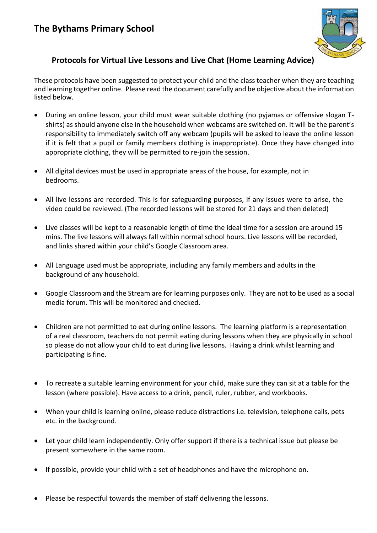

## **Protocols for Virtual Live Lessons and Live Chat (Home Learning Advice)**

These protocols have been suggested to protect your child and the class teacher when they are teaching and learning together online. Please read the document carefully and be objective about the information listed below.

- During an online lesson, your child must wear suitable clothing (no pyjamas or offensive slogan Tshirts) as should anyone else in the household when webcams are switched on. It will be the parent's responsibility to immediately switch off any webcam (pupils will be asked to leave the online lesson if it is felt that a pupil or family members clothing is inappropriate). Once they have changed into appropriate clothing, they will be permitted to re-join the session.
- All digital devices must be used in appropriate areas of the house, for example, not in bedrooms.
- All live lessons are recorded. This is for safeguarding purposes, if any issues were to arise, the video could be reviewed. (The recorded lessons will be stored for 21 days and then deleted)
- Live classes will be kept to a reasonable length of time the ideal time for a session are around 15 mins. The live lessons will always fall within normal school hours. Live lessons will be recorded, and links shared within your child's Google Classroom area.
- All Language used must be appropriate, including any family members and adults in the background of any household.
- Google Classroom and the Stream are for learning purposes only. They are not to be used as a social media forum. This will be monitored and checked.
- Children are not permitted to eat during online lessons. The learning platform is a representation of a real classroom, teachers do not permit eating during lessons when they are physically in school so please do not allow your child to eat during live lessons. Having a drink whilst learning and participating is fine.
- To recreate a suitable learning environment for your child, make sure they can sit at a table for the lesson (where possible). Have access to a drink, pencil, ruler, rubber, and workbooks.
- When your child is learning online, please reduce distractions i.e. television, telephone calls, pets etc. in the background.
- Let your child learn independently. Only offer support if there is a technical issue but please be present somewhere in the same room.
- If possible, provide your child with a set of headphones and have the microphone on.
- Please be respectful towards the member of staff delivering the lessons.